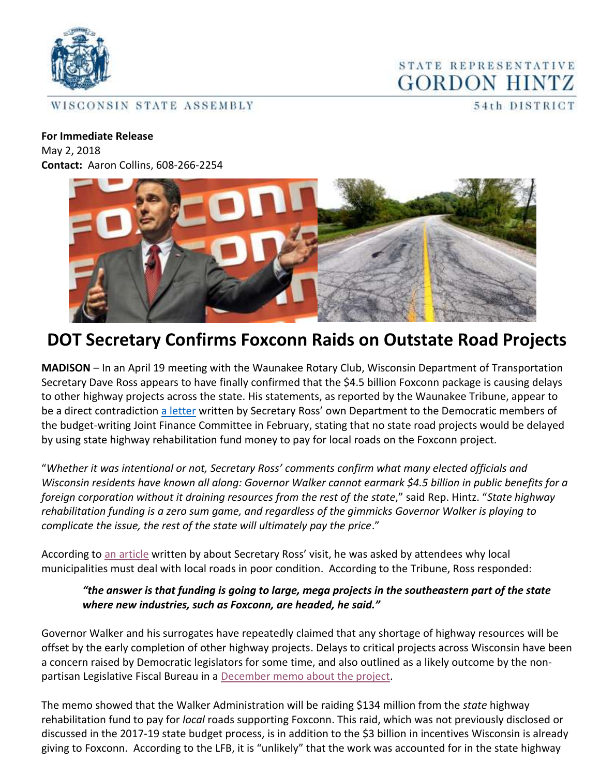

WISCONSIN STATE ASSEMBLY

STATE REPRESENTATIVE **GORDON HINTZ** 

54th DISTRICT

## **For Immediate Release**  May 2, 2018

**Contact:** Aaron Collins, 608-266-2254



## **DOT Secretary Confirms Foxconn Raids on Outstate Road Projects**

**MADISON** – In an April 19 meeting with the Waunakee Rotary Club, Wisconsin Department of Transportation Secretary Dave Ross appears to have finally confirmed that the \$4.5 billion Foxconn package is causing delays to other highway projects across the state. His statements, as reported by the Waunakee Tribune, appear to be a direct contradiction [a letter](http://www.thewheelerreport.com/wheeler_docs/files/0228shillingjfc.pdf) written by Secretary Ross' own Department to the Democratic members of the budget-writing Joint Finance Committee in February, stating that no state road projects would be delayed by using state highway rehabilitation fund money to pay for local roads on the Foxconn project.

"*Whether it was intentional or not, Secretary Ross' comments confirm what many elected officials and Wisconsin residents have known all along: Governor Walker cannot earmark \$4.5 billion in public benefits for a foreign corporation without it draining resources from the rest of the state*," said Rep. Hintz. "*State highway rehabilitation funding is a zero sum game, and regardless of the gimmicks Governor Walker is playing to complicate the issue, the rest of the state will ultimately pay the price*."

According to [an article](http://www.hngnews.com/waunakee_tribune/news/local/article_b1f65632-7257-50a3-8d46-5482ec517561.html) written by about Secretary Ross' visit, he was asked by attendees why local municipalities must deal with local roads in poor condition. According to the Tribune, Ross responded:

## *"the answer is that funding is going to large, mega projects in the southeastern part of the state where new industries, such as Foxconn, are headed, he said."*

Governor Walker and his surrogates have repeatedly claimed that any shortage of highway resources will be offset by the early completion of other highway projects. Delays to critical projects across Wisconsin have been a concern raised by Democratic legislators for some time, and also outlined as a likely outcome by the nonpartisan Legislative Fiscal Bureau in a [December memo about the project.](http://www.thewheelerreport.com/wheeler_docs/files/0228shillinglfb.pdf)

The memo showed that the Walker Administration will be raiding \$134 million from the *state* highway rehabilitation fund to pay for *local* roads supporting Foxconn. This raid, which was not previously disclosed or discussed in the 2017-19 state budget process, is in addition to the \$3 billion in incentives Wisconsin is already giving to Foxconn. According to the LFB, it is "unlikely" that the work was accounted for in the state highway